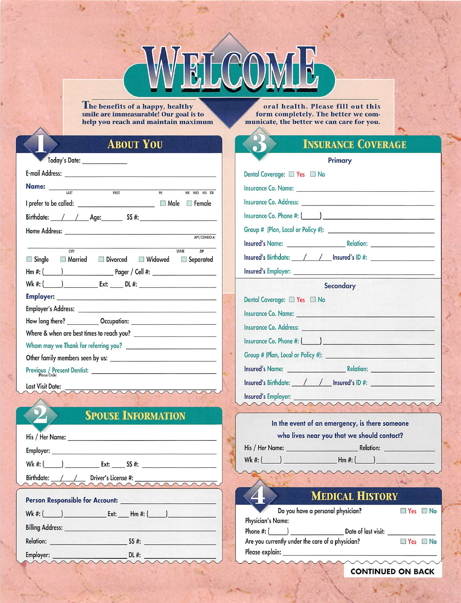The benefits of a happy, healthy<br>smile are immeasurable! Our goal is to help you reach and maintain maximum

oral health. Please fill out this form completely. The better we communicate, the better we can care for you.

## **ABOUT YOU**

|                                                                     | Today's Date: _____________                                                |  |   |                                                                                  |
|---------------------------------------------------------------------|----------------------------------------------------------------------------|--|---|----------------------------------------------------------------------------------|
|                                                                     |                                                                            |  |   |                                                                                  |
|                                                                     | Name: $\frac{1}{\sqrt{35}}$                                                |  | M | MR MRS MS DR                                                                     |
|                                                                     | I prefer to be called: _________________________________ □ Male   □ Female |  |   |                                                                                  |
|                                                                     |                                                                            |  |   |                                                                                  |
|                                                                     |                                                                            |  |   |                                                                                  |
|                                                                     |                                                                            |  |   | APT/CONDO #:                                                                     |
|                                                                     | CITY<br>Single Married Divorced Widowed Separated                          |  |   | STATE ZIP                                                                        |
|                                                                     |                                                                            |  |   | Wk #: (______) _____________ Ext: ______ DL #: _________________________________ |
|                                                                     |                                                                            |  |   |                                                                                  |
|                                                                     |                                                                            |  |   |                                                                                  |
|                                                                     |                                                                            |  |   |                                                                                  |
|                                                                     |                                                                            |  |   |                                                                                  |
|                                                                     |                                                                            |  |   |                                                                                  |
|                                                                     |                                                                            |  |   |                                                                                  |
|                                                                     | $\frac{\text{Previous } / \text{Present Density}}{\text{Please Circle}}$   |  |   |                                                                                  |
| All continues of the All Commission continues of the All Commission |                                                                            |  |   |                                                                                  |

Last Visit Date:

## **SPOUSE INFORMATION**

| $Wk #:$ $\begin{array}{ c c c c c c } \hline \text{Wk #:} & \text{S5 #:} & \text{S6 #:} \\\hline \end{array}$                |
|------------------------------------------------------------------------------------------------------------------------------|
| Birthdate: /// Driver's License #:                                                                                           |
|                                                                                                                              |
|                                                                                                                              |
| <b>Billing Address:</b> <u>Andre Billing Address:</u> Andre Billing Address: Andre Billing Address: Andre Billing Address: A |
| Relation: SS #:                                                                                                              |

### **INSURANCE COVERAGE**  $\mathbf{r}$ .

| <b>Primary</b>                                                                                                                                                                                                                       |            |
|--------------------------------------------------------------------------------------------------------------------------------------------------------------------------------------------------------------------------------------|------------|
| Dental Coverage: Yes No                                                                                                                                                                                                              |            |
| Insurance Co. Name: <u>compared by the compared with the compared with the compared with the compared with the compared with the compared with the compared with the compared with the compared with the compared with the compa</u> |            |
|                                                                                                                                                                                                                                      |            |
|                                                                                                                                                                                                                                      |            |
| Group # (Plan, Local or Policy #): \\connection \\connection \\connection \\connection \\connection \\connection \\connection \\connection \\connection \\connection \\connection \\connection \\connection \\connection \\con       |            |
|                                                                                                                                                                                                                                      |            |
| Insured's Birthdate: / / / Insured's ID #:                                                                                                                                                                                           |            |
|                                                                                                                                                                                                                                      |            |
| Secondary                                                                                                                                                                                                                            |            |
| Dental Coverage: 7es No                                                                                                                                                                                                              |            |
|                                                                                                                                                                                                                                      |            |
| Insurance Co. Address: University of the Community of the Community of the Community of the Community of the Co                                                                                                                      |            |
|                                                                                                                                                                                                                                      |            |
|                                                                                                                                                                                                                                      |            |
| Insured's Name: Relation: Relation:                                                                                                                                                                                                  |            |
| Insured's Birthdate: / / / Insured's ID #: 1                                                                                                                                                                                         |            |
| <b>Insured's Employer: Example 2020 Contract 2020 Contract 2020 Contract 2020</b>                                                                                                                                                    | rannannann |

### In the event of an emergency, is there someone who lives near you that we should contact?

| His / Her Name: |  |
|-----------------|--|
| Wk #: $($       |  |

 $Hm #:$ 

# **MEDICAL HISTORY**

Relation:

| Do you have a personal physician?                | $Nes \Box No$       |          |  |
|--------------------------------------------------|---------------------|----------|--|
| Physician's Name:                                |                     |          |  |
| Phone #: (                                       | Date of last visit: |          |  |
| Are you currently under the care of a physician? |                     | $Nes$ No |  |
| Please explain:                                  |                     |          |  |

**CONTINUED ON BACK**